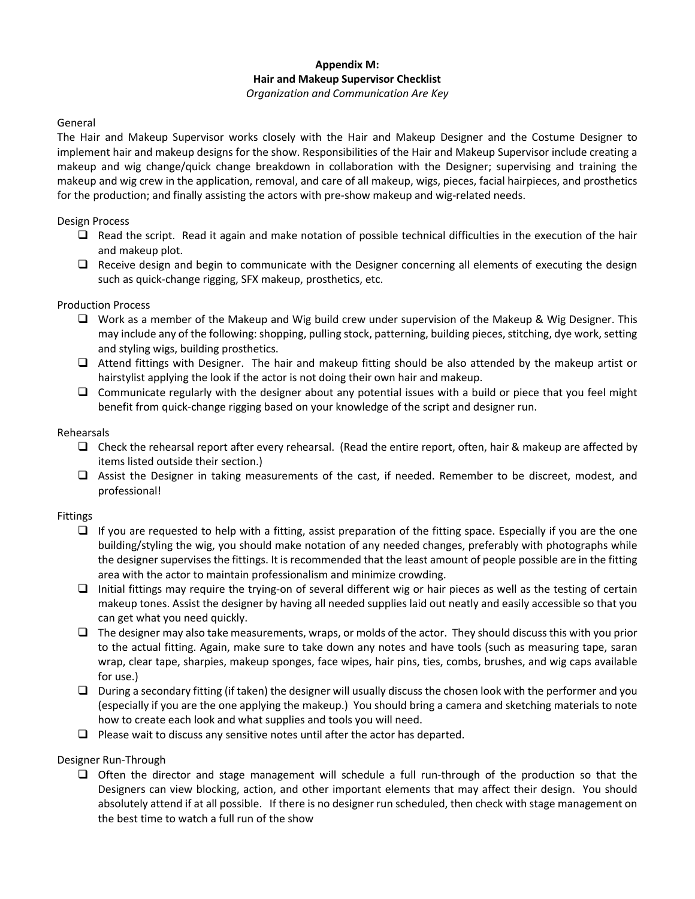# **Appendix M: Hair and Makeup Supervisor Checklist**

#### *Organization and Communication Are Key*

## General

The Hair and Makeup Supervisor works closely with the Hair and Makeup Designer and the Costume Designer to implement hair and makeup designs for the show. Responsibilities of the Hair and Makeup Supervisor include creating a makeup and wig change/quick change breakdown in collaboration with the Designer; supervising and training the makeup and wig crew in the application, removal, and care of all makeup, wigs, pieces, facial hairpieces, and prosthetics for the production; and finally assisting the actors with pre-show makeup and wig-related needs.

## Design Process

- $\Box$  Read the script. Read it again and make notation of possible technical difficulties in the execution of the hair and makeup plot.
- $\Box$  Receive design and begin to communicate with the Designer concerning all elements of executing the design such as quick-change rigging, SFX makeup, prosthetics, etc.

#### Production Process

- $\Box$  Work as a member of the Makeup and Wig build crew under supervision of the Makeup & Wig Designer. This may include any of the following: shopping, pulling stock, patterning, building pieces, stitching, dye work, setting and styling wigs, building prosthetics.
- $\Box$  Attend fittings with Designer. The hair and makeup fitting should be also attended by the makeup artist or hairstylist applying the look if the actor is not doing their own hair and makeup.
- $\Box$  Communicate regularly with the designer about any potential issues with a build or piece that you feel might benefit from quick-change rigging based on your knowledge of the script and designer run.

#### Rehearsals

- Check the rehearsal report after every rehearsal. (Read the entire report, often, hair & makeup are affected by items listed outside their section.)
- Assist the Designer in taking measurements of the cast, if needed. Remember to be discreet, modest, and professional!

## Fittings

- $\Box$  If you are requested to help with a fitting, assist preparation of the fitting space. Especially if you are the one building/styling the wig, you should make notation of any needed changes, preferably with photographs while the designer supervises the fittings. It is recommended that the least amount of people possible are in the fitting area with the actor to maintain professionalism and minimize crowding.
- $\Box$  Initial fittings may require the trying-on of several different wig or hair pieces as well as the testing of certain makeup tones. Assist the designer by having all needed supplies laid out neatly and easily accessible so that you can get what you need quickly.
- $\Box$  The designer may also take measurements, wraps, or molds of the actor. They should discuss this with you prior to the actual fitting. Again, make sure to take down any notes and have tools (such as measuring tape, saran wrap, clear tape, sharpies, makeup sponges, face wipes, hair pins, ties, combs, brushes, and wig caps available for use.)
- $\Box$  During a secondary fitting (if taken) the designer will usually discuss the chosen look with the performer and you (especially if you are the one applying the makeup.) You should bring a camera and sketching materials to note how to create each look and what supplies and tools you will need.
- $\Box$  Please wait to discuss any sensitive notes until after the actor has departed.

## Designer Run-Through

 $\Box$  Often the director and stage management will schedule a full run-through of the production so that the Designers can view blocking, action, and other important elements that may affect their design. You should absolutely attend if at all possible. If there is no designer run scheduled, then check with stage management on the best time to watch a full run of the show